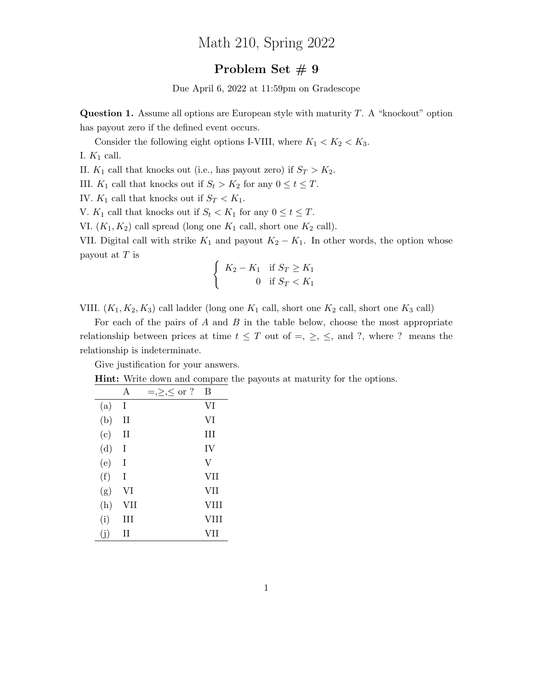## Math 210, Spring 2022

## Problem Set  $# 9$

Due April 6, 2022 at 11:59pm on Gradescope

**Question 1.** Assume all options are European style with maturity  $T$ . A "knockout" option has payout zero if the defined event occurs.

Consider the following eight options I-VIII, where  $K_1 < K_2 < K_3$ .

I.  $K_1$  call.

II.  $K_1$  call that knocks out (i.e., has payout zero) if  $S_T > K_2$ .

III.  $K_1$  call that knocks out if  $S_t > K_2$  for any  $0 \le t \le T$ .

IV.  $K_1$  call that knocks out if  $S_T < K_1$ .

V.  $K_1$  call that knocks out if  $S_t < K_1$  for any  $0 \le t \le T$ .

VI.  $(K_1, K_2)$  call spread (long one  $K_1$  call, short one  $K_2$  call).

VII. Digital call with strike  $K_1$  and payout  $K_2 - K_1$ . In other words, the option whose payout at  $T$  is

$$
\begin{cases}\nK_2 - K_1 & \text{if } S_T \ge K_1 \\
0 & \text{if } S_T < K_1\n\end{cases}
$$

VIII.  $(K_1, K_2, K_3)$  call ladder (long one  $K_1$  call, short one  $K_2$  call, short one  $K_3$  call)

For each of the pairs of  $A$  and  $B$  in the table below, choose the most appropriate relationship between prices at time  $t \leq T$  out of  $=, \geq, \leq,$  and ?, where ? means the relationship is indeterminate.

Give justification for your answers.

Hint: Write down and compare the payouts at maturity for the options.

|     | A           | $=,\geq,\leq$ or ? | В           |
|-----|-------------|--------------------|-------------|
| (a) | T           |                    | VI          |
| (b) | $_{\rm II}$ |                    | VI          |
| (c) | Н           |                    | Ш           |
| (d) | T           |                    | IV          |
| (e) | T           |                    | V           |
| (f) | Ι           |                    | VII         |
| (g) | VI          |                    | VII         |
| (h) | VII         |                    | <b>VIII</b> |
| (i) | Ш           |                    | <b>VIII</b> |
| (i) | H           |                    | VH          |